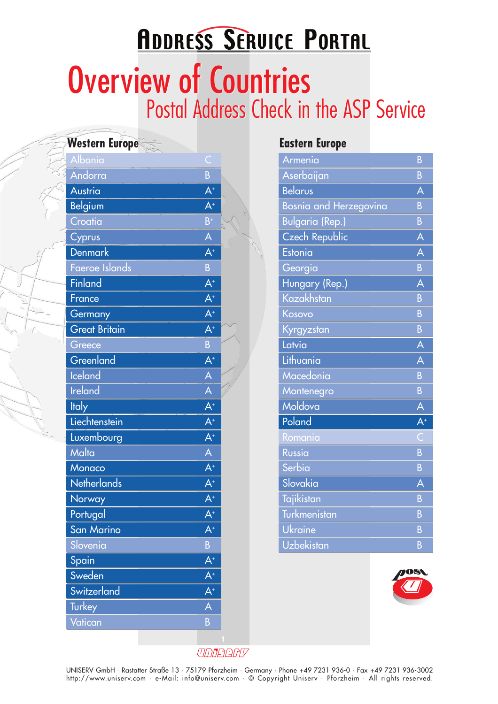# **ADDRESS SERVICE PORTAL** Overview of Countries Overview of Countries Postal Address Check in the ASP Service

| Western Europe $\le$ |                         |  |
|----------------------|-------------------------|--|
| Albania              | C                       |  |
| Andorra              | B                       |  |
| Austria              | $A^+$                   |  |
| <b>Belgium</b>       | $A^+$                   |  |
| Croatia              | $B^+$                   |  |
| Cyprus               | A                       |  |
| <b>Denmark</b>       | $A^+$                   |  |
| Faeroe Islands       | $\overline{B}$          |  |
| Finland              | $A^+$                   |  |
| France               | $A^+$                   |  |
| Germany              | $A^+$                   |  |
| <b>Great Britain</b> | $A^*$                   |  |
| Greece               | B                       |  |
| Greenland            | $A^+$                   |  |
| <b>Iceland</b>       | A                       |  |
| <b>Ireland</b>       | A                       |  |
| <b>Italy</b>         | $\overline{A^+}$        |  |
| Liechtenstein        | $A^+$                   |  |
| Luxembourg           | $A^+$                   |  |
| Malta                | $\overline{\mathsf{A}}$ |  |
| Monaco               | $A^+$                   |  |
| <b>Netherlands</b>   | $A^+$                   |  |
| Norway               | $A^+$                   |  |
| Portugal             | $\mathsf{A}^*$          |  |
| San Marino           | $A^+$                   |  |
| Slovenia             | B                       |  |
| Spain                | $\overline{A^+}$        |  |
| Sweden               | $A^+$                   |  |
| Switzerland          | $A^+$                   |  |
| Turkey               | A                       |  |
| Vatican              | B                       |  |
|                      |                         |  |

#### **Western Europe Eastern Europe**

| Armenia                | B              |
|------------------------|----------------|
| Aserbaijan             | B              |
| <b>Belarus</b>         | Ă              |
| Bosnia and Herzegovina | B              |
| <b>Bulgaria</b> (Rep.) | $\overline{B}$ |
| <b>Czech Republic</b>  | A              |
| Estonia                | A              |
| Georgia                | B              |
| Hungary (Rep.)         | A              |
| Kazakhstan             | B              |
| Kosovo                 | B              |
| Kyrgyzstan             | B              |
| Latvia                 | À              |
| Lithuania              | A              |
| Macedonia              | B              |
| Montenegro             | B              |
| Moldova                | À              |
| Poland                 | $\mathsf{A}^*$ |
| Romania                |                |
| Russia                 | B              |
| Serbia                 | $\overline{B}$ |
| Slovakia               | A              |
| Tajikistan             | B              |
|                        |                |
| Turkmenistan           | B              |
| Ukraine                | B              |



UDDEERV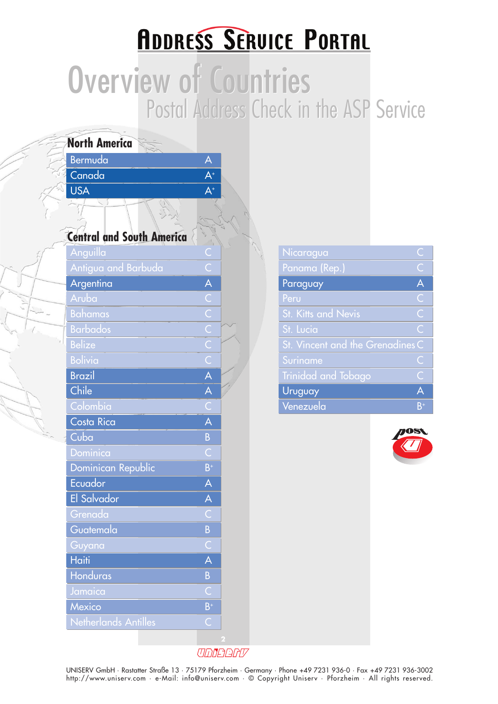### **ADDRESS SERVICE PORTAL**

# Overview of Countries Overview of Countries Postal Address Check in the ASP Service

| Bermuda<br>A<br>Canada<br>$A^+$<br>$\overline{\mathsf{A}^*}$<br><b>USA</b><br><b>Central and South America</b><br>Anguilla<br>$\mathsf{C}$<br>Antigua and Barbuda<br>A<br>Argentina<br>$C$<br>$C$<br>$C$<br>$C$<br>$C$<br>$C$<br>Aruba<br><b>Bahamas</b><br><b>Barbados</b><br><b>Belize</b><br><b>Bolivia</b><br>$\overline{\mathsf{A}}$<br><b>Brazil</b><br>$\overline{\mathsf{A}}$<br>Chile<br>Colombia<br>С<br>A<br>Costa Rica<br>Cuba<br>B<br>Dominica<br>C<br>Dominican Republic<br>$B^+$<br>Ecuador<br>A<br>El Salvador<br>A<br><u>Grenada</u><br>B<br>Guatemala<br>C<br>Guyana<br>À<br><b>Haiti</b><br>Honduras<br>B<br>Jamaica<br>Č<br>$B^+$<br>Mexico<br>Netherlands Antilles<br>C<br>2 | <b>North America</b> |  |
|---------------------------------------------------------------------------------------------------------------------------------------------------------------------------------------------------------------------------------------------------------------------------------------------------------------------------------------------------------------------------------------------------------------------------------------------------------------------------------------------------------------------------------------------------------------------------------------------------------------------------------------------------------------------------------------------------|----------------------|--|
|                                                                                                                                                                                                                                                                                                                                                                                                                                                                                                                                                                                                                                                                                                   |                      |  |
|                                                                                                                                                                                                                                                                                                                                                                                                                                                                                                                                                                                                                                                                                                   |                      |  |
|                                                                                                                                                                                                                                                                                                                                                                                                                                                                                                                                                                                                                                                                                                   |                      |  |
|                                                                                                                                                                                                                                                                                                                                                                                                                                                                                                                                                                                                                                                                                                   |                      |  |
|                                                                                                                                                                                                                                                                                                                                                                                                                                                                                                                                                                                                                                                                                                   |                      |  |
|                                                                                                                                                                                                                                                                                                                                                                                                                                                                                                                                                                                                                                                                                                   |                      |  |
|                                                                                                                                                                                                                                                                                                                                                                                                                                                                                                                                                                                                                                                                                                   |                      |  |
|                                                                                                                                                                                                                                                                                                                                                                                                                                                                                                                                                                                                                                                                                                   |                      |  |
|                                                                                                                                                                                                                                                                                                                                                                                                                                                                                                                                                                                                                                                                                                   |                      |  |
|                                                                                                                                                                                                                                                                                                                                                                                                                                                                                                                                                                                                                                                                                                   |                      |  |
|                                                                                                                                                                                                                                                                                                                                                                                                                                                                                                                                                                                                                                                                                                   |                      |  |
|                                                                                                                                                                                                                                                                                                                                                                                                                                                                                                                                                                                                                                                                                                   |                      |  |
|                                                                                                                                                                                                                                                                                                                                                                                                                                                                                                                                                                                                                                                                                                   |                      |  |
|                                                                                                                                                                                                                                                                                                                                                                                                                                                                                                                                                                                                                                                                                                   |                      |  |
|                                                                                                                                                                                                                                                                                                                                                                                                                                                                                                                                                                                                                                                                                                   |                      |  |
|                                                                                                                                                                                                                                                                                                                                                                                                                                                                                                                                                                                                                                                                                                   |                      |  |
|                                                                                                                                                                                                                                                                                                                                                                                                                                                                                                                                                                                                                                                                                                   |                      |  |
|                                                                                                                                                                                                                                                                                                                                                                                                                                                                                                                                                                                                                                                                                                   |                      |  |
|                                                                                                                                                                                                                                                                                                                                                                                                                                                                                                                                                                                                                                                                                                   |                      |  |
|                                                                                                                                                                                                                                                                                                                                                                                                                                                                                                                                                                                                                                                                                                   |                      |  |
|                                                                                                                                                                                                                                                                                                                                                                                                                                                                                                                                                                                                                                                                                                   |                      |  |
|                                                                                                                                                                                                                                                                                                                                                                                                                                                                                                                                                                                                                                                                                                   |                      |  |
|                                                                                                                                                                                                                                                                                                                                                                                                                                                                                                                                                                                                                                                                                                   |                      |  |
|                                                                                                                                                                                                                                                                                                                                                                                                                                                                                                                                                                                                                                                                                                   |                      |  |
|                                                                                                                                                                                                                                                                                                                                                                                                                                                                                                                                                                                                                                                                                                   |                      |  |
|                                                                                                                                                                                                                                                                                                                                                                                                                                                                                                                                                                                                                                                                                                   |                      |  |
|                                                                                                                                                                                                                                                                                                                                                                                                                                                                                                                                                                                                                                                                                                   |                      |  |
|                                                                                                                                                                                                                                                                                                                                                                                                                                                                                                                                                                                                                                                                                                   |                      |  |
|                                                                                                                                                                                                                                                                                                                                                                                                                                                                                                                                                                                                                                                                                                   |                      |  |
|                                                                                                                                                                                                                                                                                                                                                                                                                                                                                                                                                                                                                                                                                                   |                      |  |

| Nicaragua                        | С                |
|----------------------------------|------------------|
| Panama (Rep.)                    | Ć                |
| Paraguay                         | $\overline{A}$   |
| Peru                             | $\overline{C}$   |
| <b>St. Kitts and Nevis</b>       | $\overline{C}$   |
| St. Lucia                        | $\overline{C}$   |
| St. Vincent and the Grenadines C |                  |
| Suriname                         | $\mathsf C$      |
| Trinidad and Tobago              | Ċ                |
| Uruguay                          | A                |
| Venezuela                        | $\overline{B^+}$ |



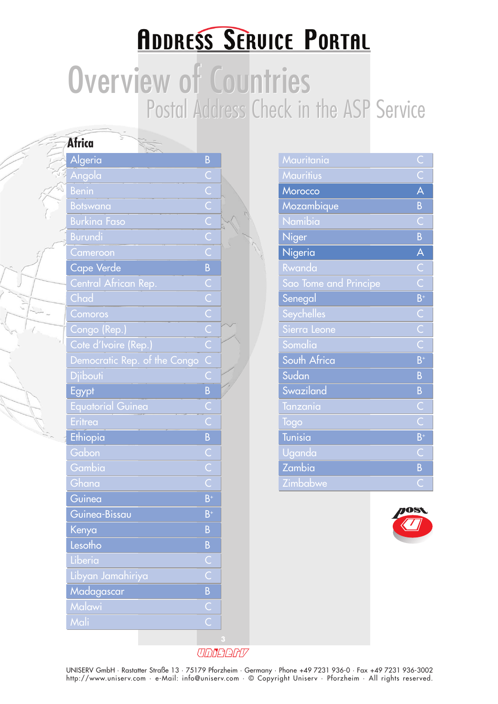### **ADDRESS SERVICE PORTAL**

# Overview of Countries Overview of Countries Postal Address Check in the ASP Service

| Africa                       |                         |   |                       |                           |
|------------------------------|-------------------------|---|-----------------------|---------------------------|
| Algeria                      | B                       |   | Mauritania            |                           |
| Angola                       | C                       |   | <b>Mauritius</b>      | $\overline{\overline{C}}$ |
| <b>Benin</b>                 | $\overline{\mathsf{C}}$ |   | Morocco               | $\overline{\mathsf{A}}$   |
| <b>Botswana</b>              | $\overline{C}$          |   | Mozambique            | $\overline{B}$            |
| <b>Burkina Faso</b>          | $\overline{C}$          |   | Namibia               | $\overline{C}$            |
| <b>Burundi</b>               | $\overline{C}$          |   | <b>Niger</b>          | $\overline{B}$            |
| Cameroon                     | $\overline{\mathsf{C}}$ |   | Nigeria               | $\overline{\mathsf{A}}$   |
| Cape Verde                   | $\overline{B}$          |   | Rwanda                | $\overline{C}$            |
| Central African Rep.         | Ċ                       |   | Sao Tome and Principe | $\overline{\text{C}}$     |
| Chad                         | $\overline{C}$          |   | Senegal               | $\overline{B}$            |
| Comoros                      | $\overline{\mathsf{C}}$ |   | <b>Seychelles</b>     | $\overline{C}$            |
| Congo (Rep.)                 | $\overline{C}$          |   | Sierra Leone          | $\overline{\bigcirc}$     |
| Cote d'Ivoire (Rep.)         | $\overline{C}$          |   | Somalia               | $\overline{\bigcirc}$     |
| Democratic Rep. of the Congo | $\overline{C}$          |   | South Africa          | $\overline{B}$            |
| <b>Djibouti</b>              | Ċ                       |   | Sudan                 | $\overline{B}$            |
| Egypt                        | B                       |   | Swaziland             | $\overline{B}$            |
| <b>Equatorial Guinea</b>     | С                       |   | Tanzania              | Ć                         |
| Eritrea                      | $\overline{C}$          |   | Togo                  | Ċ                         |
| Ethiopia                     | $\overline{B}$          |   | <b>Tunisia</b>        | $B^{\dagger}$             |
| Gabon                        | $\overline{\mathsf{C}}$ |   | Uganda                | $\mathsf{C}$              |
| Gambia                       | $\overline{\mathsf{C}}$ |   | Zambia                | $\overline{B}$            |
| Ghana                        | Ċ                       |   | Zimbabwe              | $\overline{C}$            |
| Guinea                       | $B^+$                   |   |                       |                           |
| Guinea-Bissau                | $B^+$                   |   |                       |                           |
| Kenya                        | B                       |   |                       |                           |
| Lesotho                      | B                       |   |                       |                           |
| Liberia                      | C                       |   |                       |                           |
| Libyan Jamahiriya            | Ć                       |   |                       |                           |
| Madagascar                   | B                       |   |                       |                           |
| Malawi                       | $\overline{C}$          |   |                       |                           |
| Mali                         | Ċ                       |   |                       |                           |
|                              |                         | з |                       |                           |
|                              |                         |   |                       |                           |

| Mauritania            | $\bigcup$                        |
|-----------------------|----------------------------------|
| <b>Mauritius</b>      | $\overline{\epsilon}$            |
| Morocco               | A                                |
| Mozambique            | $\overline{B}$                   |
| Namibia               | Ĉ                                |
| <b>Niger</b>          | B                                |
| Nigeria               | A                                |
| Rwanda                | $\overline{C}$                   |
| Sao Tome and Principe | $\overline{\mathsf{C}}$          |
| Senegal               | $B^+$                            |
| Seychelles            | C                                |
| Sierra Leone          | $\overline{\overline{\text{C}}}$ |
| Somalia               | $\overline{C}$                   |
| South Africa          | $B^+$                            |
| Sudan                 | B                                |
| Swaziland             | B                                |
| Tanzania              | $\subset$                        |
| Togo                  | $\overline{C}$                   |
| <b>Tunisia</b>        | $B^+$                            |
| <mark>Uganda</mark>   | $\bar{\mathsf{C}}$               |
| Zambia                | B                                |
| Zimbabwe              | C                                |



UDDERFU